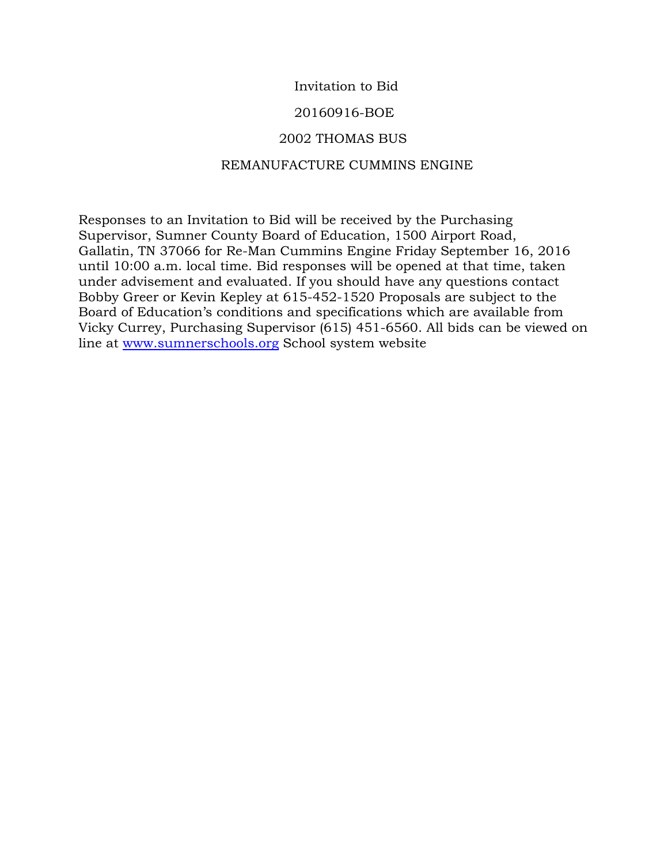# Invitation to Bid

## 20160916-BOE

## 2002 THOMAS BUS

## REMANUFACTURE CUMMINS ENGINE

Responses to an Invitation to Bid will be received by the Purchasing Supervisor, Sumner County Board of Education, 1500 Airport Road, Gallatin, TN 37066 for Re-Man Cummins Engine Friday September 16, 2016 until 10:00 a.m. local time. Bid responses will be opened at that time, taken under advisement and evaluated. If you should have any questions contact Bobby Greer or Kevin Kepley at 615-452-1520 Proposals are subject to the Board of Education's conditions and specifications which are available from Vicky Currey, Purchasing Supervisor (615) 451-6560. All bids can be viewed on line at [www.sumnerschools.org](http://www.sumnerschools.org/) School system website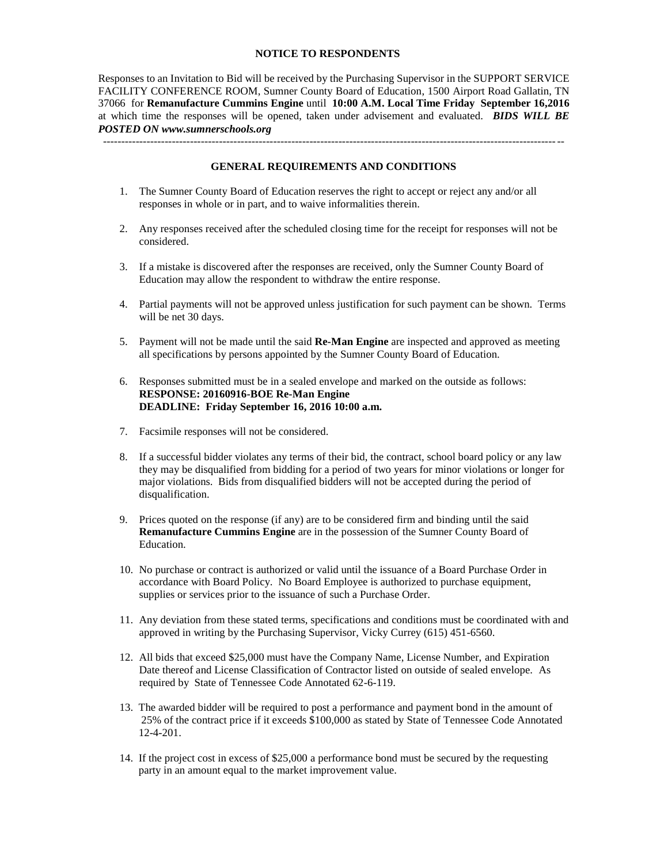#### **NOTICE TO RESPONDENTS**

Responses to an Invitation to Bid will be received by the Purchasing Supervisor in the SUPPORT SERVICE FACILITY CONFERENCE ROOM, Sumner County Board of Education, 1500 Airport Road Gallatin, TN 37066 for **Remanufacture Cummins Engine** until **10:00 A.M. Local Time Friday September 16,2016** at which time the responses will be opened, taken under advisement and evaluated. *BIDS WILL BE POSTED ON www.sumnerschools.org*

#### **GENERAL REQUIREMENTS AND CONDITIONS**

-------------------------------------------------------------------------------------------------------------------------------

- 1. The Sumner County Board of Education reserves the right to accept or reject any and/or all responses in whole or in part, and to waive informalities therein.
- 2. Any responses received after the scheduled closing time for the receipt for responses will not be considered.
- 3. If a mistake is discovered after the responses are received, only the Sumner County Board of Education may allow the respondent to withdraw the entire response.
- 4. Partial payments will not be approved unless justification for such payment can be shown. Terms will be net 30 days.
- 5. Payment will not be made until the said **Re-Man Engine** are inspected and approved as meeting all specifications by persons appointed by the Sumner County Board of Education.
- 6. Responses submitted must be in a sealed envelope and marked on the outside as follows: **RESPONSE: 20160916-BOE Re-Man Engine DEADLINE: Friday September 16, 2016 10:00 a.m.**
- 7. Facsimile responses will not be considered.
- 8. If a successful bidder violates any terms of their bid, the contract, school board policy or any law they may be disqualified from bidding for a period of two years for minor violations or longer for major violations. Bids from disqualified bidders will not be accepted during the period of disqualification.
- 9. Prices quoted on the response (if any) are to be considered firm and binding until the said **Remanufacture Cummins Engine** are in the possession of the Sumner County Board of Education.
- 10. No purchase or contract is authorized or valid until the issuance of a Board Purchase Order in accordance with Board Policy. No Board Employee is authorized to purchase equipment, supplies or services prior to the issuance of such a Purchase Order.
- 11. Any deviation from these stated terms, specifications and conditions must be coordinated with and approved in writing by the Purchasing Supervisor, Vicky Currey (615) 451-6560.
- 12. All bids that exceed \$25,000 must have the Company Name, License Number, and Expiration Date thereof and License Classification of Contractor listed on outside of sealed envelope. As required by State of Tennessee Code Annotated 62-6-119.
- 13. The awarded bidder will be required to post a performance and payment bond in the amount of 25% of the contract price if it exceeds \$100,000 as stated by State of Tennessee Code Annotated 12-4-201.
- 14. If the project cost in excess of \$25,000 a performance bond must be secured by the requesting party in an amount equal to the market improvement value.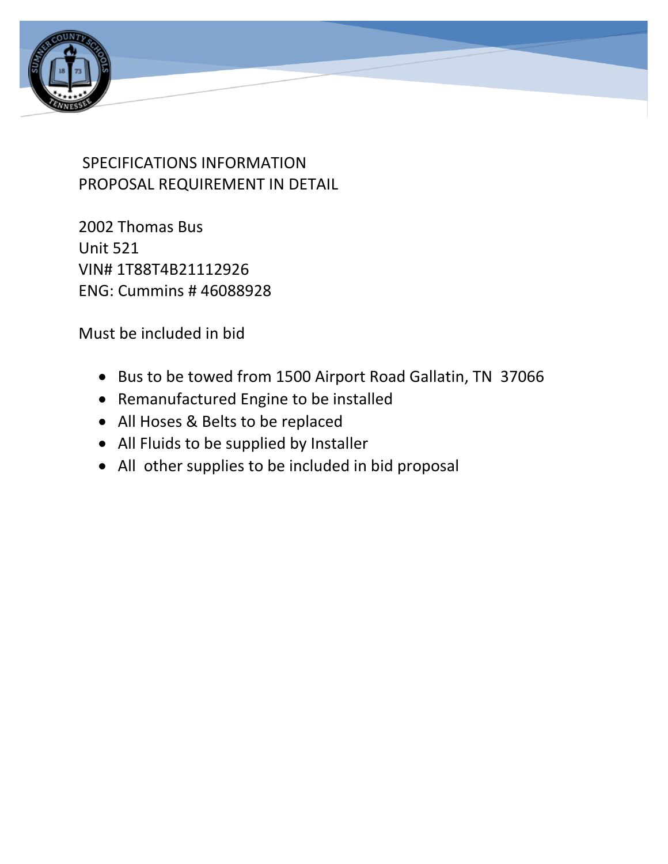

# SPECIFICATIONS INFORMATION PROPOSAL REQUIREMENT IN DETAIL

2002 Thomas Bus Unit 521 VIN# 1T88T4B21112926 ENG: Cummins # 46088928

Must be included in bid

- Bus to be towed from 1500 Airport Road Gallatin, TN 37066
- Remanufactured Engine to be installed
- All Hoses & Belts to be replaced
- All Fluids to be supplied by Installer
- All other supplies to be included in bid proposal